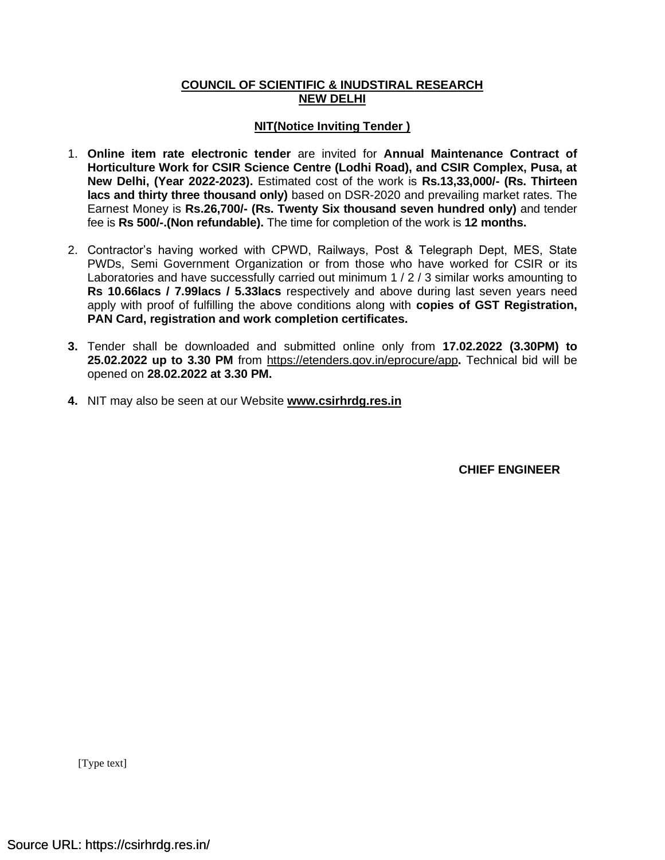### **COUNCIL OF SCIENTIFIC & INUDSTIRAL RESEARCH NEW DELHI**

### **NIT(Notice Inviting Tender )**

- 1. **Online item rate electronic tender** are invited for **Annual Maintenance Contract of Horticulture Work for CSIR Science Centre (Lodhi Road), and CSIR Complex, Pusa, at New Delhi, (Year 2022-2023).** Estimated cost of the work is **Rs.13,33,000/- (Rs. Thirteen lacs and thirty three thousand only)** based on DSR-2020 and prevailing market rates. The Earnest Money is **Rs.26,700/- (Rs. Twenty Six thousand seven hundred only)** and tender fee is **Rs 500/-.(Non refundable).** The time for completion of the work is **12 months.**
- 2. Contractor's having worked with CPWD, Railways, Post & Telegraph Dept, MES, State PWDs, Semi Government Organization or from those who have worked for CSIR or its Laboratories and have successfully carried out minimum 1 / 2 / 3 similar works amounting to **Rs 10.66lacs / 7.99lacs / 5.33lacs** respectively and above during last seven years need apply with proof of fulfilling the above conditions along with **copies of GST Registration, PAN Card, registration and work completion certificates.**
- **3.** Tender shall be downloaded and submitted online only from **17.02.2022 (3.30PM) to 25.02.2022 up to 3.30 PM** from<https://etenders.gov.in/eprocure/app>**.** Technical bid will be opened on **28.02.2022 at 3.30 PM.**
- **4.** NIT may also be seen at our Website **[www.csirhrdg.res.in](http://www.csirhrdg.res.in/)**

 **CHIEF ENGINEER**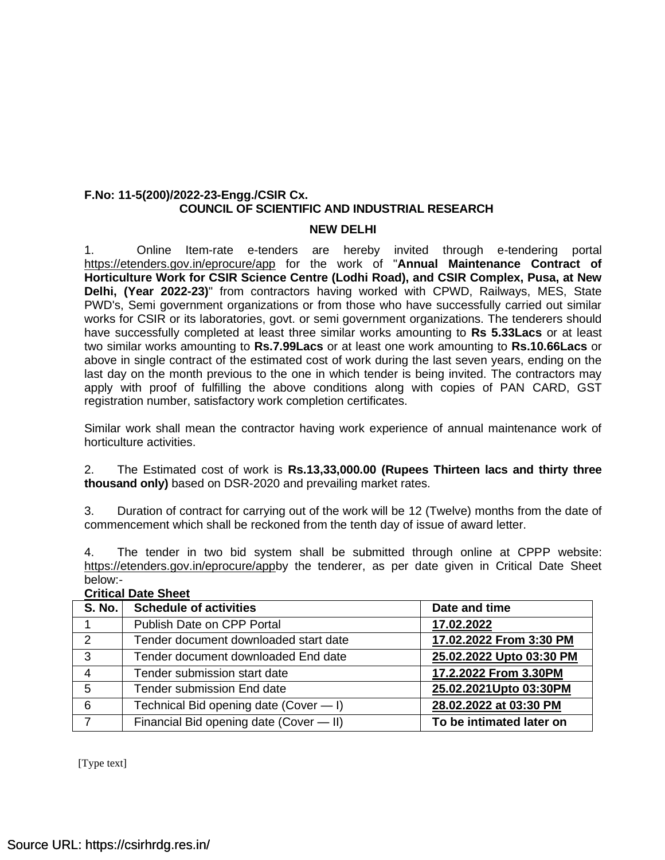### **F.No: 11-5(200)/2022-23-Engg./CSIR Cx. COUNCIL OF SCIENTIFIC AND INDUSTRIAL RESEARCH**

#### **NEW DELHI**

1. Online Item-rate e-tenders are hereby invited through e-tendering portal <https://etenders.gov.in/eprocure/app> for the work of "**Annual Maintenance Contract of Horticulture Work for CSIR Science Centre (Lodhi Road), and CSIR Complex, Pusa, at New Delhi, (Year 2022-23)**" from contractors having worked with CPWD, Railways, MES, State PWD's, Semi government organizations or from those who have successfully carried out similar works for CSIR or its laboratories, govt. or semi government organizations. The tenderers should have successfully completed at least three similar works amounting to **Rs 5.33Lacs** or at least two similar works amounting to **Rs.7.99Lacs** or at least one work amounting to **Rs.10.66Lacs** or above in single contract of the estimated cost of work during the last seven years, ending on the last day on the month previous to the one in which tender is being invited. The contractors may apply with proof of fulfilling the above conditions along with copies of PAN CARD, GST registration number, satisfactory work completion certificates.

Similar work shall mean the contractor having work experience of annual maintenance work of horticulture activities.

2. The Estimated cost of work is **Rs.13,33,000.00 (Rupees Thirteen lacs and thirty three thousand only)** based on DSR-2020 and prevailing market rates.

3. Duration of contract for carrying out of the work will be 12 (Twelve) months from the date of commencement which shall be reckoned from the tenth day of issue of award letter.

4. The tender in two bid system shall be submitted through online at CPPP website: [https://etenders.gov.in/eprocure/appb](https://etenders.gov.in/eprocure/app)y the tenderer, as per date given in Critical Date Sheet below:-

| <b>S. No.</b> | <b>Schedule of activities</b>           | Date and time            |  |
|---------------|-----------------------------------------|--------------------------|--|
|               | Publish Date on CPP Portal              | 17.02.2022               |  |
| 2             | Tender document downloaded start date   | 17.02.2022 From 3:30 PM  |  |
| 3             | Tender document downloaded End date     | 25.02.2022 Upto 03:30 PM |  |
| 4             | Tender submission start date            | 17.2.2022 From 3.30PM    |  |
| 5             | Tender submission End date              | 25.02.2021Upto 03:30PM   |  |
| 6             | Technical Bid opening date (Cover - I)  | 28.02.2022 at 03:30 PM   |  |
| 7             | Financial Bid opening date (Cover - II) | To be intimated later on |  |

### **Critical Date Sheet**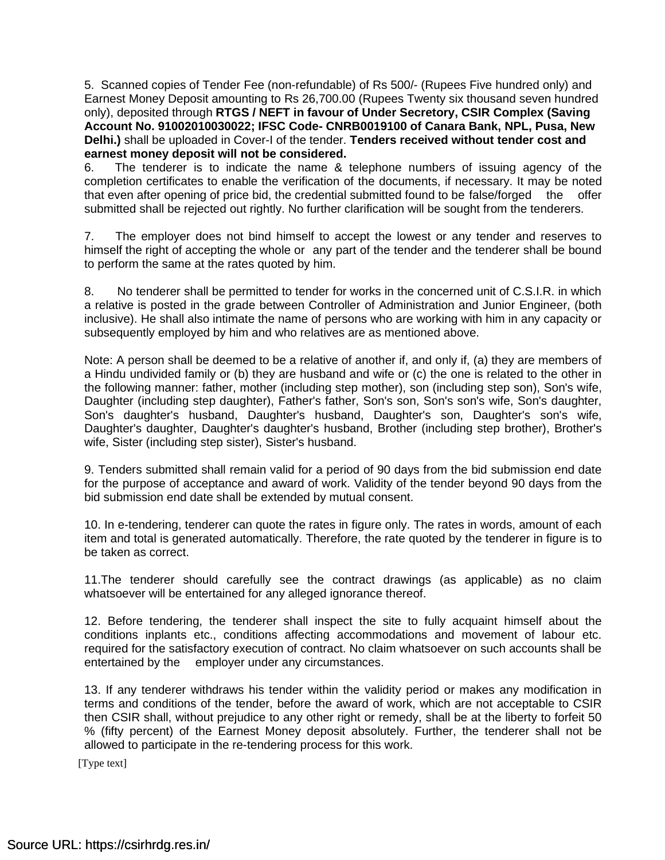5. Scanned copies of Tender Fee (non-refundable) of Rs 500/- (Rupees Five hundred only) and Earnest Money Deposit amounting to Rs 26,700.00 (Rupees Twenty six thousand seven hundred only), deposited through **RTGS / NEFT in favour of Under Secretory, CSIR Complex (Saving Account No. 91002010030022; IFSC Code- CNRB0019100 of Canara Bank, NPL, Pusa, New Delhi.)** shall be uploaded in Cover-I of the tender. **Tenders received without tender cost and earnest money deposit will not be considered.**

6. The tenderer is to indicate the name & telephone numbers of issuing agency of the completion certificates to enable the verification of the documents, if necessary. It may be noted that even after opening of price bid, the credential submitted found to be false/forged the offer submitted shall be rejected out rightly. No further clarification will be sought from the tenderers.

7. The employer does not bind himself to accept the lowest or any tender and reserves to himself the right of accepting the whole or any part of the tender and the tenderer shall be bound to perform the same at the rates quoted by him.

8. No tenderer shall be permitted to tender for works in the concerned unit of C.S.I.R. in which a relative is posted in the grade between Controller of Administration and Junior Engineer, (both inclusive). He shall also intimate the name of persons who are working with him in any capacity or subsequently employed by him and who relatives are as mentioned above.

Note: A person shall be deemed to be a relative of another if, and only if, (a) they are members of a Hindu undivided family or (b) they are husband and wife or (c) the one is related to the other in the following manner: father, mother (including step mother), son (including step son), Son's wife, Daughter (including step daughter), Father's father, Son's son, Son's son's wife, Son's daughter, Son's daughter's husband, Daughter's husband, Daughter's son, Daughter's son's wife, Daughter's daughter, Daughter's daughter's husband, Brother (including step brother), Brother's wife, Sister (including step sister), Sister's husband.

9. Tenders submitted shall remain valid for a period of 90 days from the bid submission end date for the purpose of acceptance and award of work. Validity of the tender beyond 90 days from the bid submission end date shall be extended by mutual consent.

10. In e-tendering, tenderer can quote the rates in figure only. The rates in words, amount of each item and total is generated automatically. Therefore, the rate quoted by the tenderer in figure is to be taken as correct.

11.The tenderer should carefully see the contract drawings (as applicable) as no claim whatsoever will be entertained for any alleged ignorance thereof.

12. Before tendering, the tenderer shall inspect the site to fully acquaint himself about the conditions inplants etc., conditions affecting accommodations and movement of labour etc. required for the satisfactory execution of contract. No claim whatsoever on such accounts shall be entertained by the employer under any circumstances.

13. If any tenderer withdraws his tender within the validity period or makes any modification in terms and conditions of the tender, before the award of work, which are not acceptable to CSIR then CSIR shall, without prejudice to any other right or remedy, shall be at the liberty to forfeit 50 % (fifty percent) of the Earnest Money deposit absolutely. Further, the tenderer shall not be allowed to participate in the re-tendering process for this work.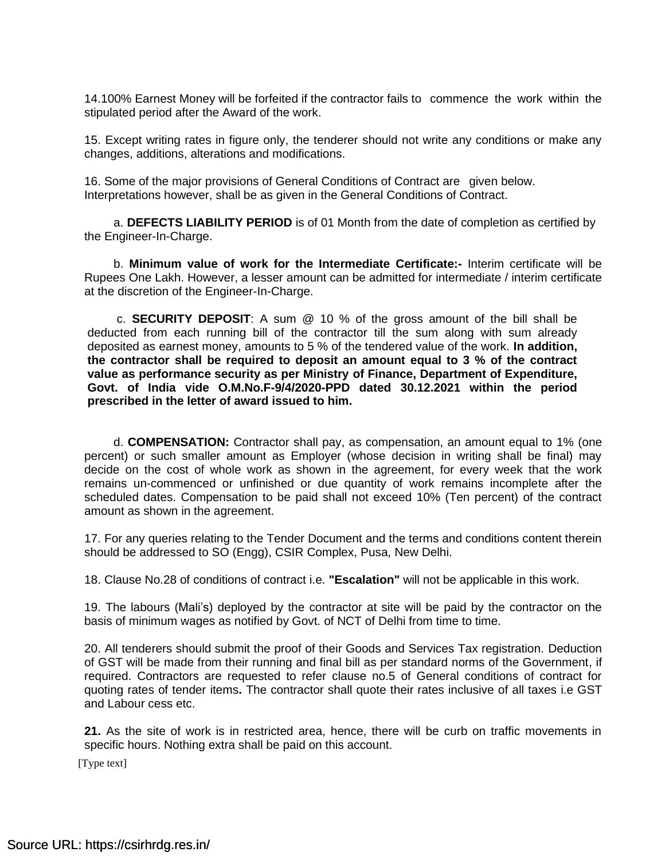14.100% Earnest Money will be forfeited if the contractor fails to commence the work within the stipulated period after the Award of the work.

15. Except writing rates in figure only, the tenderer should not write any conditions or make any changes, additions, alterations and modifications.

16. Some of the major provisions of General Conditions of Contract are given below. Interpretations however, shall be as given in the General Conditions of Contract.

a. **DEFECTS LIABILITY PERIOD** is of 01 Month from the date of completion as certified by the Engineer-In-Charge.

b. **Minimum value of work for the Intermediate Certificate:-** Interim certificate will be Rupees One Lakh. However, a lesser amount can be admitted for intermediate / interim certificate at the discretion of the Engineer-In-Charge.

c. **SECURITY DEPOSIT**: A sum @ 10 % of the gross amount of the bill shall be deducted from each running bill of the contractor till the sum along with sum already deposited as earnest money, amounts to 5 % of the tendered value of the work. **In addition, the contractor shall be required to deposit an amount equal to 3 % of the contract value as performance security as per Ministry of Finance, Department of Expenditure, Govt. of India vide O.M.No.F-9/4/2020-PPD dated 30.12.2021 within the period prescribed in the letter of award issued to him.**

d. **COMPENSATION:** Contractor shall pay, as compensation, an amount equal to 1% (one percent) or such smaller amount as Employer (whose decision in writing shall be final) may decide on the cost of whole work as shown in the agreement, for every week that the work remains un-commenced or unfinished or due quantity of work remains incomplete after the scheduled dates. Compensation to be paid shall not exceed 10% (Ten percent) of the contract amount as shown in the agreement.

17. For any queries relating to the Tender Document and the terms and conditions content therein should be addressed to SO (Engg), CSIR Complex, Pusa, New Delhi.

18. Clause No.28 of conditions of contract i.e. **"Escalation"** will not be applicable in this work.

19. The labours (Mali's) deployed by the contractor at site will be paid by the contractor on the basis of minimum wages as notified by Govt. of NCT of Delhi from time to time.

20. All tenderers should submit the proof of their Goods and Services Tax registration. Deduction of GST will be made from their running and final bill as per standard norms of the Government, if required. Contractors are requested to refer clause no.5 of General conditions of contract for quoting rates of tender items**.** The contractor shall quote their rates inclusive of all taxes i.e GST and Labour cess etc.

**21.** As the site of work is in restricted area, hence, there will be curb on traffic movements in specific hours. Nothing extra shall be paid on this account.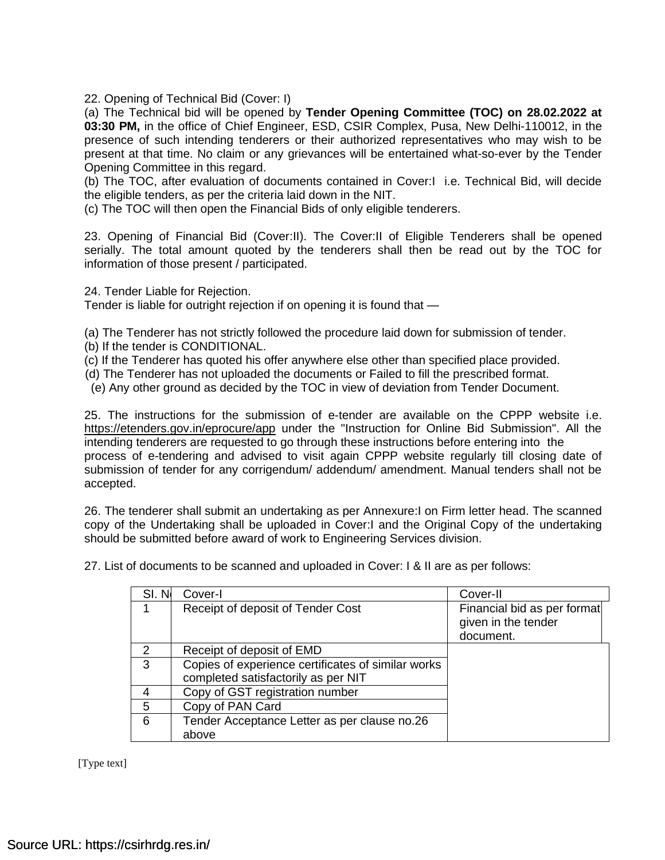22. Opening of Technical Bid (Cover: I)

(a) The Technical bid will be opened by **Tender Opening Committee (TOC) on 28.02.2022 at 03:30 PM,** in the office of Chief Engineer, ESD, CSIR Complex, Pusa, New Delhi-110012, in the presence of such intending tenderers or their authorized representatives who may wish to be present at that time. No claim or any grievances will be entertained what-so-ever by the Tender Opening Committee in this regard.

(b) The TOC, after evaluation of documents contained in Cover:I i.e. Technical Bid, will decide the eligible tenders, as per the criteria laid down in the NIT.

(c) The TOC will then open the Financial Bids of only eligible tenderers.

23. Opening of Financial Bid (Cover:II). The Cover:II of Eligible Tenderers shall be opened serially. The total amount quoted by the tenderers shall then be read out by the TOC for information of those present / participated.

24. Tender Liable for Rejection.

Tender is liable for outright rejection if on opening it is found that —

(a) The Tenderer has not strictly followed the procedure laid down for submission of tender.

- (b) If the tender is CONDITIONAL.
- (c) If the Tenderer has quoted his offer anywhere else other than specified place provided.
- (d) The Tenderer has not uploaded the documents or Failed to fill the prescribed format.
- (e) Any other ground as decided by the TOC in view of deviation from Tender Document.

25. The instructions for the submission of e-tender are available on the CPPP website i.e. <https://etenders.gov.in/eprocure/app> under the "Instruction for Online Bid Submission". All the intending tenderers are requested to go through these instructions before entering into the process of e-tendering and advised to visit again CPPP website regularly till closing date of submission of tender for any corrigendum/ addendum/ amendment. Manual tenders shall not be accepted.

26. The tenderer shall submit an undertaking as per Annexure:I on Firm letter head. The scanned copy of the Undertaking shall be uploaded in Cover:I and the Original Copy of the undertaking should be submitted before award of work to Engineering Services division.

SI. No. Cover-I Cover-II Cover-II Cover-II

27. List of documents to be scanned and uploaded in Cover: I & II are as per follows:

|               | Receipt of deposit of Tender Cost                  | Financial bid as per format<br>given in the tender<br>document. |
|---------------|----------------------------------------------------|-----------------------------------------------------------------|
| $\mathcal{P}$ | Receipt of deposit of EMD                          |                                                                 |
| 3             | Copies of experience certificates of similar works |                                                                 |
|               | completed satisfactorily as per NIT                |                                                                 |
|               | Copy of GST registration number                    |                                                                 |
| 5             | Copy of PAN Card                                   |                                                                 |
| 6             | Tender Acceptance Letter as per clause no.26       |                                                                 |
|               | above                                              |                                                                 |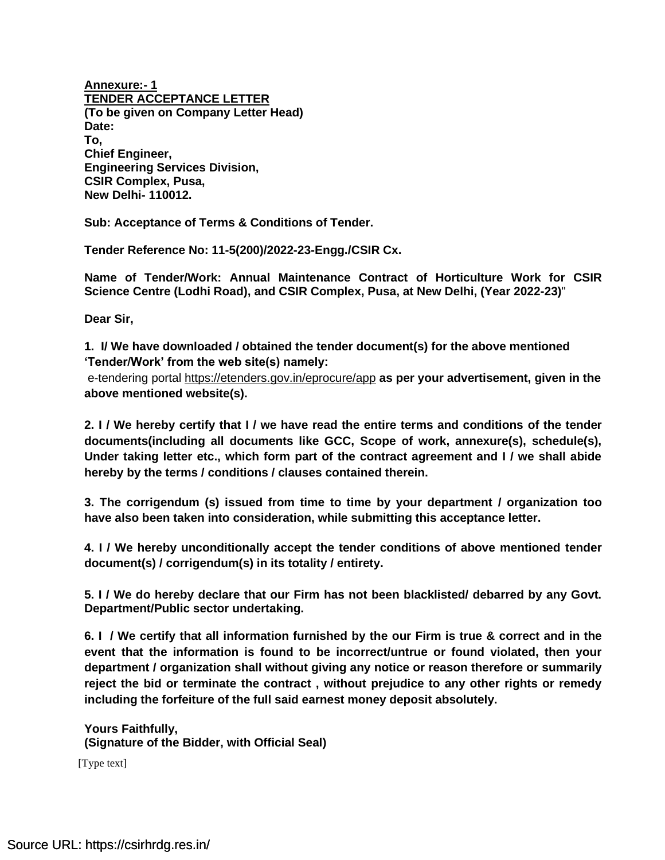**Annexure:- 1 TENDER ACCEPTANCE LETTER (To be given on Company Letter Head) Date: To, Chief Engineer, Engineering Services Division, CSIR Complex, Pusa, New Delhi- 110012.**

**Sub: Acceptance of Terms & Conditions of Tender.**

**Tender Reference No: 11-5(200)/2022-23-Engg./CSIR Cx.**

**Name of Tender/Work: Annual Maintenance Contract of Horticulture Work for CSIR Science Centre (Lodhi Road), and CSIR Complex, Pusa, at New Delhi, (Year 2022-23)**"

**Dear Sir,**

**1. I/ We have downloaded / obtained the tender document(s) for the above mentioned 'Tender/Work' from the web site(s) namely:** 

e-tendering portal<https://etenders.gov.in/eprocure/app> **as per your advertisement, given in the above mentioned website(s).**

**2. I / We hereby certify that I / we have read the entire terms and conditions of the tender documents(including all documents like GCC, Scope of work, annexure(s), schedule(s), Under taking letter etc., which form part of the contract agreement and I / we shall abide hereby by the terms / conditions / clauses contained therein.**

**3. The corrigendum (s) issued from time to time by your department / organization too have also been taken into consideration, while submitting this acceptance letter.**

**4. I / We hereby unconditionally accept the tender conditions of above mentioned tender document(s) / corrigendum(s) in its totality / entirety.**

**5. I / We do hereby declare that our Firm has not been blacklisted/ debarred by any Govt. Department/Public sector undertaking.**

**6. I / We certify that all information furnished by the our Firm is true & correct and in the event that the information is found to be incorrect/untrue or found violated, then your department / organization shall without giving any notice or reason therefore or summarily reject the bid or terminate the contract , without prejudice to any other rights or remedy including the forfeiture of the full said earnest money deposit absolutely.**

**Yours Faithfully, (Signature of the Bidder, with Official Seal)**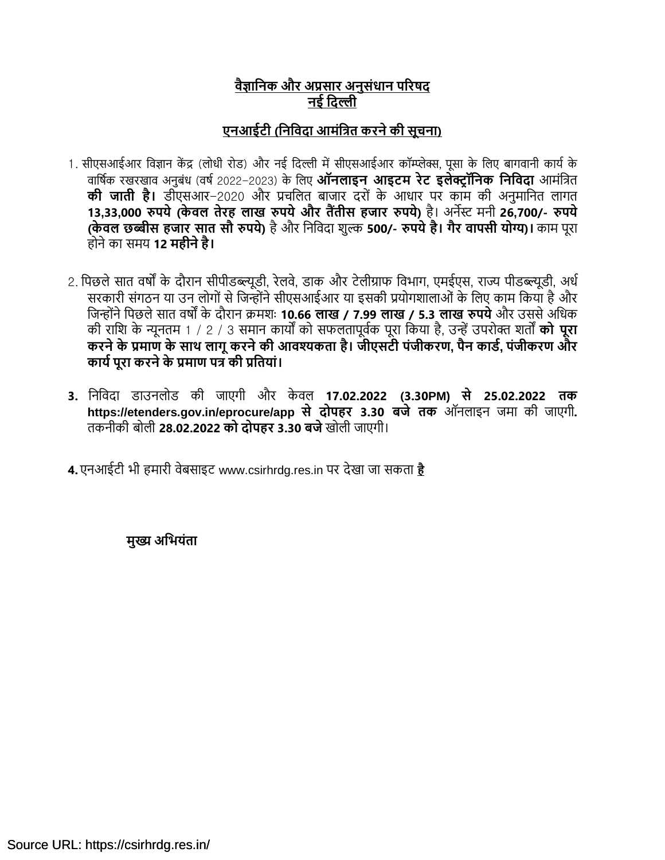## **वैज्ञानिक और अप्रसार अिुसंधाि पररषद िई नदल्ली**

# **एिआईटी (निनवदा आमंनित करिेकी सूचिा)**

- 1. सीएसआईआर विज्ञान केंद्र (लोधी रोड) और नई दिल्ली में सीएसआईआर कॉम्प्लेक्स, पूसा के लिए बागवानी कार्य के िावषयक रखरखाि अनुबंध (िषय2022-2023) के वलए **ऑिलाइि आइटम रेट इलेक्ट्र ॉनिक निनवदा** आमंवित **की जाती है।** डीएसआर-2020 और प्रचवलत बाजार िरों के आधार पर काम की अनुमावनत लागत 13,33,000 रुपये (केवल तेरह लाख रुपये और तैंतीस हजार रुपये) है। अर्नेस्ट मनी 26,700/- रुपये **(के वल छब्बीस हजार सात सौ रुपये)** हैऔर वनवििा शुल्क **500/- रुपयेहै। गैर वापसी योग्य)।** काम पूरा होनेका समर् **12 महीिेहै।**
- 2. पिछले सात वर्षों के दौरान सीपीडब्ल्यूडी, रेलवे, डाक और टेलीग्राफ विभाग, एमईएस, राज्य पीडब्ल्यूडी, अर्ध सरकारी संगठन या उन लोगों से जिन्होंने सीएसआईआर या इसकी प्रयोगशालाओं के लिए काम किया है और वजन्ोंनेवपछलेसात िषों के िौरान क्रमशः **10.66 लाख / 7.99 लाख / 5.3 लाख रुपये**और उससेअवधक की रावश के न्यूनतम 1 / 2 / 3 समान कार्ों को सफलतापूियक पूरा वकर्ा है, उन्ेंउपरोक्त शतों **को पूरा करिेके प्रमाण के साथ लागूकरिेकी आवश्यकता है। जीएसटी पंजीकरण, पैि कार्ड, पंजीकरण और कायडपूरा करिेके प्रमाण पि की प्रनतयां।**
- **3.** वनवििा डाउनलोड की जाएगी और के िल **17.02.2022 (3.30PM) से 25.02.2022 तक https://etenders.gov.in/eprocure/app से दोपहर 3.30 बजे तक** ऑनलाइन जमा की जाएगी**.**  तकनीकी बोली **28.02.2022 को दोपहर 3.30 बजे**खोली जाएगी।

**4.** एनआईटी भी हमारी िेबसाइट www.csirhrdg.res.in पर िेखा जा सकता **[है](http://www.csirhrdg.res.in/)**

**मुख्य अनियंता**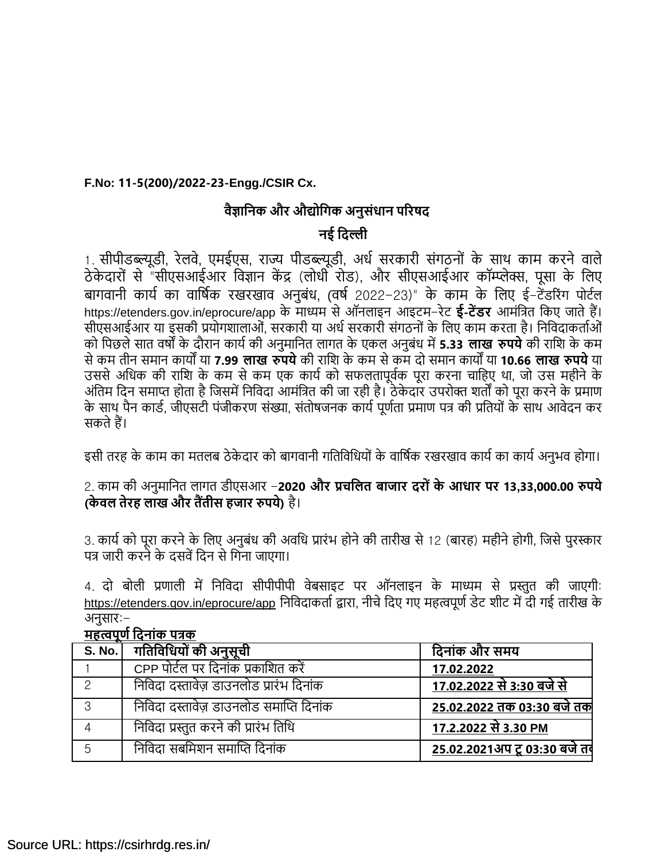### **F.No: 11-5(200)/2022-23-Engg./CSIR Cx.**

### **वैज्ञानिक और औद्योनगक अिुसंधाि पररषद**

### **िई नदल्ली**

1. सीपीडब्ल्यूडी, रेलवे, एमईएस, राज्य पीडब्ल्यूडी, अर्ध सरकारी संगठनों के साथ काम करने वाले ठे के िारों से "सीएसआईआर विज्ञान कें द्र (लोधी रोड), और सीएसआईआर कॉम्प्लेक्स, पूसा के वलए बागवानी कार्य का वार्षिक रखरखाव अनुबंध, (वर्ष 2022-23)" के काम के लिए ई-टेंडरिंग पोर्टल https://etenders.gov.in/eprocure/app के माध्यम सेऑनलाइन आइटम-रेट **ई-टेंर्र** आमंवित वकए जातेहैं। सीएसआईआर या इसकी प्रयोगशालाओं, सरकारी या अर्ध सरकारी संगठनों के लिए काम करता है। निविदाकर्ताओं को वपछलेसात िषों के िौरान कार्यकी अनुमावनत लागत के एकल अनुबंध में**5.33 लाख रुपये**की रावश के कम सेकम तीन समान कार्ों र्ा **7.99 लाख रुपये**की रावश के कम सेकम िो समान कार्ों र्ा **10.66 लाख रुपये**र्ा उससे अधिक की राशि के कम से कम एक कार्य को सफलतापूर्वक पूरा करना चाहिए था, जो उस महीने के अंतिम दिन समाप्त होता है जिसमें निविदा आमंत्रित की जा रही है। ठेकेदार उपरोक्त शर्तों को पूरा करने के प्रमाण के साथ पैन कार्ड, जीएसटी पंजीकरण संख्या, संतोषजनक कार्य पूर्णता प्रमाण पत्र की प्रतियों के साथ आवेदन कर सकतेहैं।

इसी तरह के काम का मतलब ठेकेदार को बागवानी गतिविधियों के वार्षिक रखरखाव कार्य का कार्य अनुभव होगा।

2. काम की अनुमावनत लागत डीएसआर -**2020 और प्रचनलत बाजार दरो ंके आधार पर 13,33,000.00 रुपये (के वल तेरह लाख और तैंतीस हजार रुपये)** है।

3. कार्य को पूरा करने के लिए अनुबंध की अवधि प्रारंभ होने की तारीख से 12 (बारह) महीने होगी, जिसे पुरस्कार पत्र जारी करने के दसवें दिन से गिना जाएगा।

4. दो बोली प्रणाली में निविदा सीपीपीपी वेबसाइट पर ऑनलाइन के माध्यम से प्रस्तुत की जाएगी: <https://etenders.gov.in/eprocure/app> निविदाकर्ता द्वारा, नीचे दिए गए महत्वपूर्ण डेट शीट में दी गई तारीख के अनुसार:-

| <b>אדיאוויטו וע</b> יוואי א |                                         |                                     |
|-----------------------------|-----------------------------------------|-------------------------------------|
|                             | S. No.   गतिविधियों की अनुसूची          | दिनांक और समय                       |
|                             | CPP पोर्टल पर दिनांक प्रकाशित करें      | 17.02.2022                          |
| $\mathcal{D}$               | निविदा दस्तावेज़ डाउनलोड प्रारंभ दिनांक | <u>17.02.2022 से 3:30 बजे से </u>   |
| 3                           | निविदा दस्तावेज़ डाउनलोड समाप्ति दिनांक | 25.02.2022 तक 03:30 बजे तक          |
| 4                           | निविदा प्रस्तुत करने की प्रारंभ तिथि    | 17.2.2022 से 3.30 PM                |
| 5                           | निविदा सबमिशन समाप्ति दिनांक            | <u>25.02.2021अप टू 03:30 बजे तर</u> |

# **महत्वपूणडनदिांक पिक**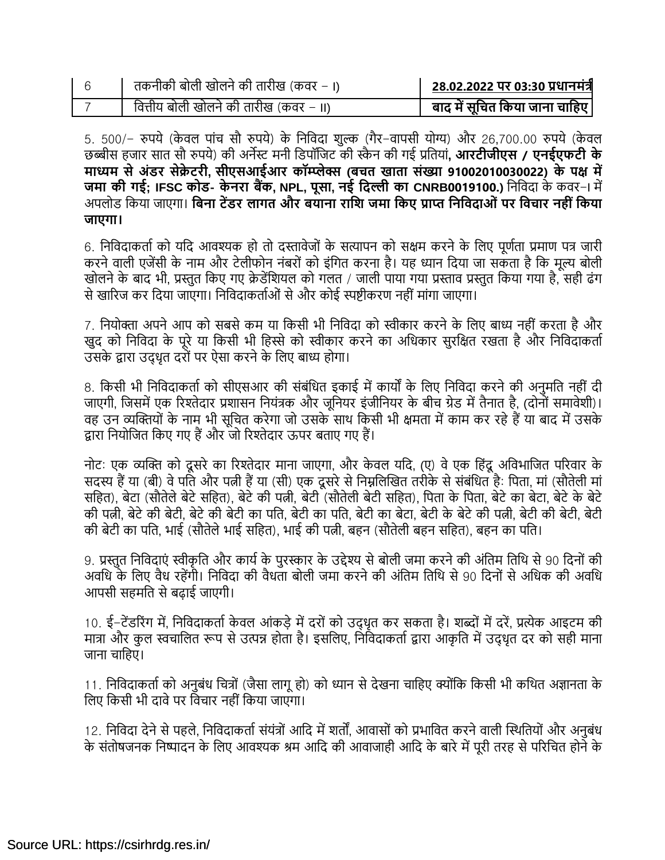| तकनीकी बोली खोलने की तारीख (कवर – ।)   | 28.02.2022 पर 03:30 प्रधानमंत्री |
|----------------------------------------|----------------------------------|
| वित्तीय बोली खोलने की तारीख (कवर – II) | बाद में सूचित किया जाना चाहिए    |

5. 500/– रुपये (केवल पांच सौ रुपये) के निविदा शुल्क (गैर–वापसी योग्य) और 26,700.00 रुपये (केवल छब्बीस हजार सात सौ रुपर्े) की अनेस्ट मनी वडपॉवजट की स्कै न की गई प्रवतर्ां**, आरटीजीएस / एिईएफटी के माध्यम सेअंर्र सेक्रे टरी, सीएसआईआर कॉम्प्लेक्स (बचत खाता संख्या 91002010030022) के पक्ष में जमा की गई; IFSC कोर्- के िरा बैंक, NPL, पूसा, िई नदल्ली का CNRB0019100.)** वनवििा के किर-I में अपलोड वकर्ा जाएगा। **नबिा टेंर्र लागत और बयािा रानि जमा नकए प्राप्त निनवदाओं पर नवचार िही ंनकया जाएगा।**

6. निविदाकर्ता को यदि आवश्यक हो तो दस्तावेजों के सत्यापन को सक्षम करने के लिए पूर्णता प्रमाण पत्र जारी करने वाली एजेंसी के नाम और टेलीफोन नंबरों को इंगित करना है। यह ध्यान दिया जा सकता है कि मूल्य बोली खोलने के बाद भी, प्रस्तुत किए गए क्रेडेंशियल को गलत / जाली पाया गया प्रस्ताव प्रस्तुत किया गया है, सही ढंग से खारिज कर दिया जाएगा। निविदाकर्ताओं से और कोई स्पष्टीकरण नहीं मांगा जाएगा।

7. नियोक्ता अपने आप को सबसे कम या किसी भी निविदा को स्वीकार करने के लिए बाध्य नहीं करता है और खुद को निविदा के पूरे या किसी भी हिस्से को स्वीकार करने का अधिकार सुरक्षित रखता है और निविदाकर्ता उसके द्वारा उद्धृत दरों पर ऐसा करने के लिए बाध्य होगा।

8. किसी भी निविदाकर्ता को सीएसआर की संबंधित इकाई में कार्यों के लिए निविदा करने की अनुमति नहीं दी जाएगी, जिसमें एक रिश्तेदार प्रशासन नियंत्रक और जूनियर इंजीनियर के बीच ग्रेड में तैनात है, (दोनों समावेशी)। वह उन व्यक्तियों के नाम भी सूचित करेगा जो उसके साथ किसी भी क्षमता में काम कर रहे हैं या बाद में उसके द्वारा नियोजित किए गए हैं और जो रिश्तेदार ऊपर बताए गए हैं।

नोट: एक व्यक्ति को दूसरे का रिश्तेदार माना जाएगा, और केवल यदि, (ए) वे एक हिंदू अविभाजित परिवार के सदस्य हैं या (बी) वे पति और पत्नी हैं या (सी) एक दूसरे से निम्नलिखित तरीके से संबंधित है: पिता, मां (सौतेली मां सहित), बेटा (सौतेले बेटे सहित), बेटे की पत्नी, बेटी (सौतेली बेटी सहित), पिता के पिता, बेटे का बेटा, बेटे के बेटे की पत्नी, बेटेकी बेटी, बेटेकी बेटी का पवत, बेटी का पवत, बेटी का बेटा, बेटी के बेटेकी पत्नी, बेटी की बेटी, बेटी की बेटी का पति, भाई (सौतेले भाई सहित), भाई की पत्नी, बहन (सौतेली बहन सहित), बहन का पति।

9. प्रस्तुत निविदाएं स्वीकृति और कार्य के पुरस्कार के उद्देश्य से बोली जमा करने की अंतिम तिथि से 90 दिनों की अवधि के लिए वैध रहेंगी। निविदा की वैधता बोली जमा करने की अंतिम तिथि से 90 दिनों से अधिक की अवधि आपसी सहमवत सेबढाई जाएगी।

10. ई-टेंडरिंग में, निविदाकर्ता केवल आंकडे में दरों को उदधृत कर सकता है। शब्दों में दरें, प्रत्येक आइटम की मात्रा और कुल स्वचालित रूप से उत्पन्न होता है। इसलिए, निविदाकर्ता द्वारा आकृति में उद्धृत दर को सही माना जाना चावहए।

11. निविदाकर्ता को अनुबंध चित्रों (जैसा लागू हो) को ध्यान से देखना चाहिए क्योंकि किसी भी कथित अज्ञानता के लिए किसी भी दावे पर विचार नहीं किया जाएगा।

12. निविदा देने से पहले, निविदाकर्ता संयंत्रों आदि में शर्तों, आवासों को प्रभावित करने वाली स्थितियों और अनुबंध के संतोषजनक निष्पादन के लिए आवश्यक श्रम आदि की आवाजाही आदि के बारे में पूरी तरह से परिचित होने के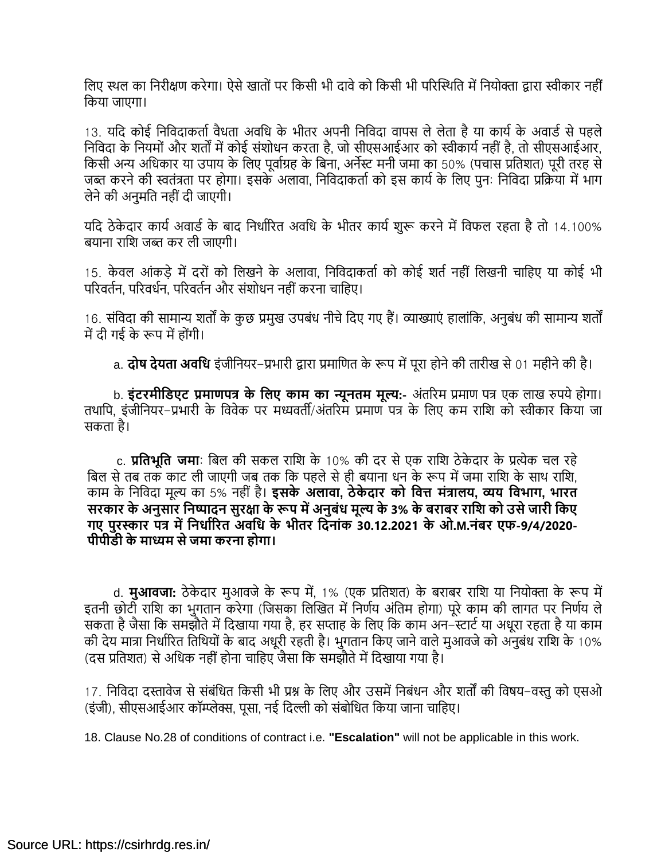लिए स्थल का निरीक्षण करेगा। ऐसे खातों पर किसी भी दावे को किसी भी परिस्थिति में नियोक्ता द्वारा स्वीकार नहीं वकर्ा जाएगा।

13. यदि कोई निविदाकर्ता वैधता अवधि के भीतर अपनी निविदा वापस ले लेता है या कार्य के अवार्ड से पहले निविदा के नियमों और शर्तों में कोई संशोधन करता है, जो सीएसआईआर को स्वीकार्य नहीं है. तो सीएसआईआर, वकसी अन्य अवधकार र्ा उपार् के वलए पूिायग्रह के वबना, अनेस्ट मनी जमा का 50% (पचास प्रवतशत) पूरी तरह से जब्त करने की स्वतंत्रता पर होगा। इसके अलावा, निविदाकर्ता को इस कार्य के लिए पन: निविदा प्रक्रिया में भाग लेनेकी अनुमवत नही ंिी जाएगी।

यदि ठेकेदार कार्य अवार्ड के बाद निर्धारित अवधि के भीतर कार्य शुरू करने में विफल रहता है तो 14.100% बर्ाना रावश जब्त कर ली जाएगी।

15. केवल आंकडे में दरों को लिखने के अलावा, निविदाकर्ता को कोई शर्त नहीं लिखनी चाहिए या कोई भी परिवर्तन, परिवर्धन, परिवर्तन और संशोधन नहीं करना चाहिए।

16. संविदा की सामान्य शर्तों के कुछ प्रमुख उपबंध नीचे दिए गए हैं। व्याख्याएं हालांकि, अनुबंध की सामान्य शर्तों में दी गई के रूप में होंगी।

a. **दोष देयता अवनध** इंजीवनर्र-प्रभारी द्वारा प्रमावणत के रूप मेंपूरा होनेकी तारीख से01 महीनेकी है।

b. **इंटरमीनर्एट प्रमाणपि के नलए काम का न्यूितम मूल्य:-** अंतररम प्रमाण पि एक लाख रुपर्ेहोगा। तथापि, इंजीनियर-प्रभारी के विवेक पर मध्यवर्ती/अंतरिम प्रमाण पत्र के लिए कम राशि को स्वीकार किया जा सकता है।

c. **प्रनतिूनत जमा**: वबल की सकल रावश के 10% की िर सेएक रावश ठे के िार के प्रत्येक चल रहे बिल से तब तक काट ली जाएगी जब तक कि पहले से ही बयाना धन के रूप में जमा राशि के साथ राशि, काम के वनवििा मूल्य का 5% नही ं है। **इसके अलावा, ठेके दार को नवत्त मंिालय, व्यय नविाग, िारत सरकार के अिुसार निष्पादि सुरक्षा के रूप मेंअिुबंध मूल्य के 3% के बराबर रानि को उसेजारी नकए गए पुरस्कार पि मेंनिधाडररत अवनध के िीतर नदिांक 30.12.2021 के ओ.M.िंबर एफ-9/4/2020- पीपीर्ी के माध्यम सेजमा करिा होगा।**

d. **मुआवजा:** ठेकेदार मुआवजे के रूप में, 1% (एक प्रतिशत) के बराबर राशि या नियोक्ता के रूप में इतनी छोटी राशि का भुगतान करेगा (जिसका लिखित में निर्णय अंतिम होगा) पूरे काम की लागत पर निर्णय ले सकता है जैसा कि समझौते में दिखाया गया है, हर सप्ताह के लिए कि काम अन–स्टार्ट या अधूरा रहता है या काम की देय मात्रा निर्धारित तिथियों के बाद अधूरी रहती है। भुगतान किए जाने वाले मुआवजे को अनुबंध राशि के 10% (दस प्रतिशत) से अधिक नहीं होना चाहिए जैसा कि समझौते में दिखाया गया है।

17. निविदा दस्तावेज से संबंधित किसी भी प्रश्न के लिए और उसमें निबंधन और शर्तों की विषय-वस्तु को एसओ (इंजी), सीएसआईआर कॉम्प्लेक्स, पूसा, नई विल्ली को संबोवधत वकर्ा जाना चावहए।

18. Clause No.28 of conditions of contract i.e. **"Escalation"** will not be applicable in this work.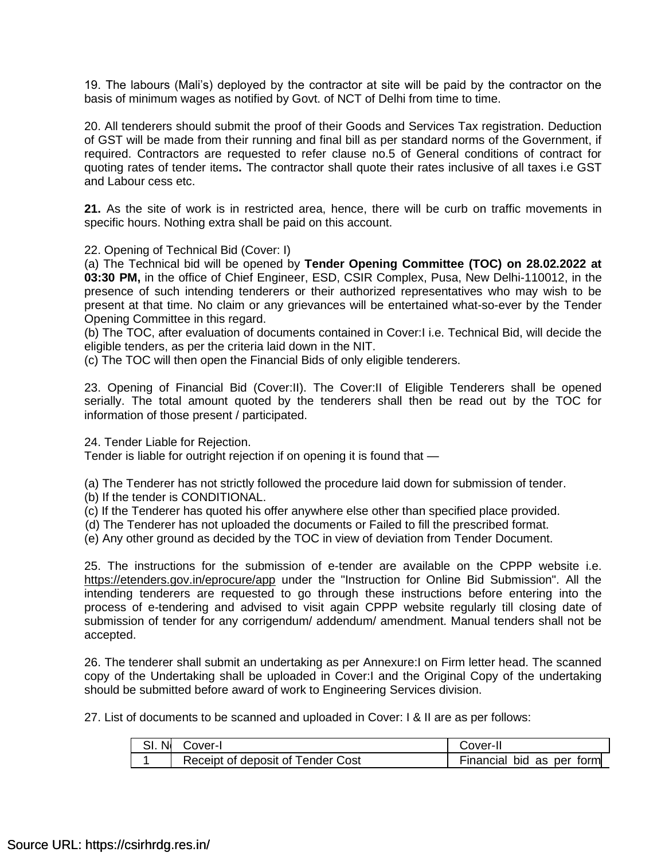19. The labours (Mali's) deployed by the contractor at site will be paid by the contractor on the basis of minimum wages as notified by Govt. of NCT of Delhi from time to time.

20. All tenderers should submit the proof of their Goods and Services Tax registration. Deduction of GST will be made from their running and final bill as per standard norms of the Government, if required. Contractors are requested to refer clause no.5 of General conditions of contract for quoting rates of tender items**.** The contractor shall quote their rates inclusive of all taxes i.e GST and Labour cess etc.

**21.** As the site of work is in restricted area, hence, there will be curb on traffic movements in specific hours. Nothing extra shall be paid on this account.

22. Opening of Technical Bid (Cover: I)

(a) The Technical bid will be opened by **Tender Opening Committee (TOC) on 28.02.2022 at 03:30 PM,** in the office of Chief Engineer, ESD, CSIR Complex, Pusa, New Delhi-110012, in the presence of such intending tenderers or their authorized representatives who may wish to be present at that time. No claim or any grievances will be entertained what-so-ever by the Tender Opening Committee in this regard.

(b) The TOC, after evaluation of documents contained in Cover:I i.e. Technical Bid, will decide the eligible tenders, as per the criteria laid down in the NIT.

(c) The TOC will then open the Financial Bids of only eligible tenderers.

23. Opening of Financial Bid (Cover:II). The Cover:II of Eligible Tenderers shall be opened serially. The total amount quoted by the tenderers shall then be read out by the TOC for information of those present / participated.

24. Tender Liable for Rejection.

Tender is liable for outright rejection if on opening it is found that —

(a) The Tenderer has not strictly followed the procedure laid down for submission of tender.

- (b) If the tender is CONDITIONAL.
- (c) If the Tenderer has quoted his offer anywhere else other than specified place provided.
- (d) The Tenderer has not uploaded the documents or Failed to fill the prescribed format.
- (e) Any other ground as decided by the TOC in view of deviation from Tender Document.

25. The instructions for the submission of e-tender are available on the CPPP website i.e. <https://etenders.gov.in/eprocure/app> under the "Instruction for Online Bid Submission". All the intending tenderers are requested to go through these instructions before entering into the process of e-tendering and advised to visit again CPPP website regularly till closing date of submission of tender for any corrigendum/ addendum/ amendment. Manual tenders shall not be accepted.

26. The tenderer shall submit an undertaking as per Annexure:I on Firm letter head. The scanned copy of the Undertaking shall be uploaded in Cover:I and the Original Copy of the undertaking should be submitted before award of work to Engineering Services division.

27. List of documents to be scanned and uploaded in Cover: I & II are as per follows:

| SI. N | Cover-I                           | Cover-II                  |  |
|-------|-----------------------------------|---------------------------|--|
|       | Receipt of deposit of Tender Cost | Financial bid as per form |  |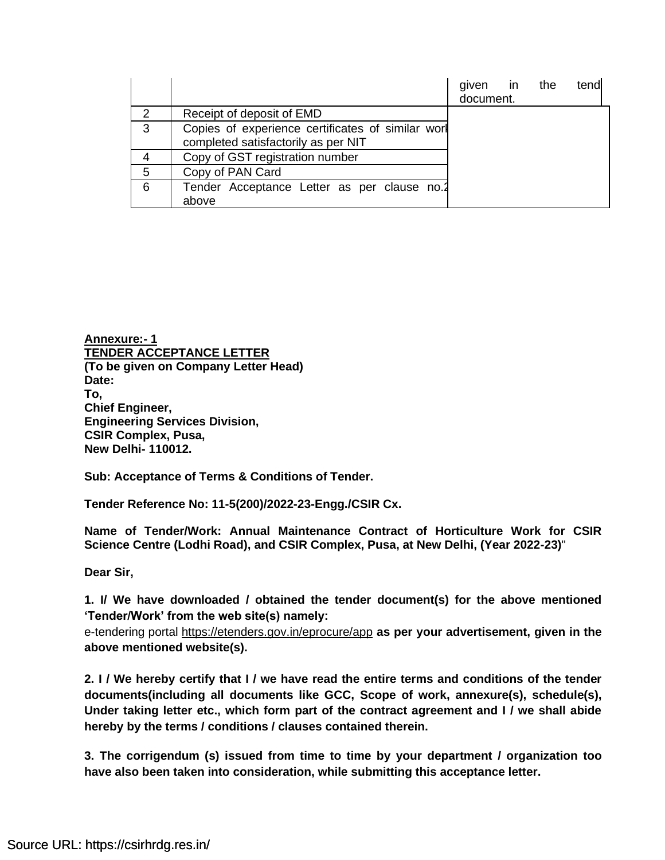|               |                                                                                          | given in the<br>document. | tend |
|---------------|------------------------------------------------------------------------------------------|---------------------------|------|
| $\mathcal{P}$ | Receipt of deposit of EMD                                                                |                           |      |
| 3             | Copies of experience certificates of similar worl<br>completed satisfactorily as per NIT |                           |      |
| 4             | Copy of GST registration number                                                          |                           |      |
| 5             | Copy of PAN Card                                                                         |                           |      |
| 6             | Tender Acceptance Letter as per clause no.2<br>above                                     |                           |      |

**Annexure:- 1 TENDER ACCEPTANCE LETTER (To be given on Company Letter Head) Date: To, Chief Engineer, Engineering Services Division, CSIR Complex, Pusa, New Delhi- 110012.**

**Sub: Acceptance of Terms & Conditions of Tender.**

**Tender Reference No: 11-5(200)/2022-23-Engg./CSIR Cx.**

**Name of Tender/Work: Annual Maintenance Contract of Horticulture Work for CSIR Science Centre (Lodhi Road), and CSIR Complex, Pusa, at New Delhi, (Year 2022-23)**"

**Dear Sir,**

**1. I/ We have downloaded / obtained the tender document(s) for the above mentioned 'Tender/Work' from the web site(s) namely:** 

e-tendering portal<https://etenders.gov.in/eprocure/app> **as per your advertisement, given in the above mentioned website(s).**

**2. I / We hereby certify that I / we have read the entire terms and conditions of the tender documents(including all documents like GCC, Scope of work, annexure(s), schedule(s), Under taking letter etc., which form part of the contract agreement and I / we shall abide hereby by the terms / conditions / clauses contained therein.**

**3. The corrigendum (s) issued from time to time by your department / organization too have also been taken into consideration, while submitting this acceptance letter.**